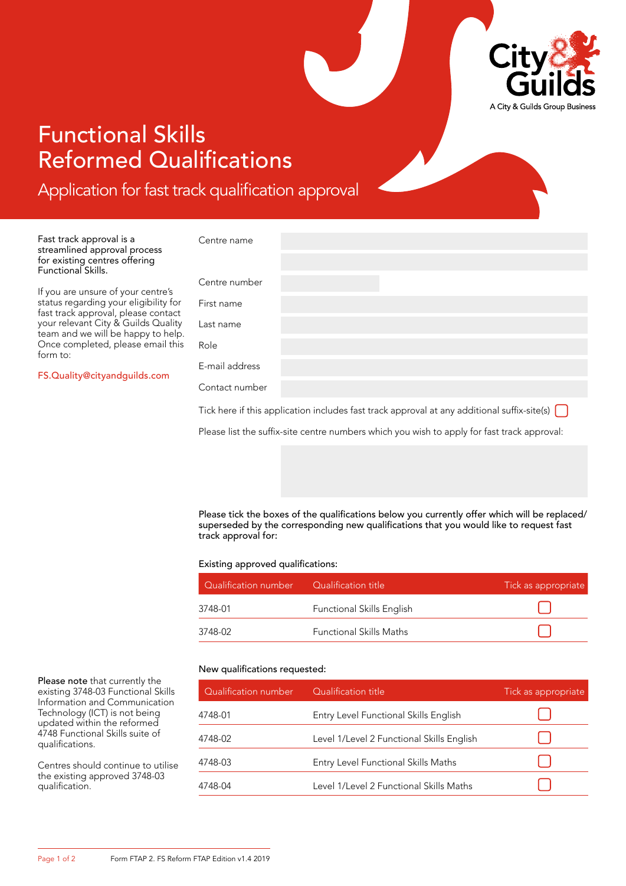

# Functional Skills Reformed Qualifications

Application for fast track qualification approval

Fast track approval is a streamlined approval process for existing centres offering Functional Skills.

If you are unsure of your centre's status regarding your eligibility for fast track approval, please contact your relevant City & Guilds Quality team and we will be happy to help. Once completed, please email this form to:

[FS.Quality@cityandguilds.com](mailto:FS.Quality@cityandguilds.com)

| Centre name                                                                                                                                |  |  |  |  |  |  |
|--------------------------------------------------------------------------------------------------------------------------------------------|--|--|--|--|--|--|
|                                                                                                                                            |  |  |  |  |  |  |
| Centre number                                                                                                                              |  |  |  |  |  |  |
| First name                                                                                                                                 |  |  |  |  |  |  |
| Last name                                                                                                                                  |  |  |  |  |  |  |
| Role                                                                                                                                       |  |  |  |  |  |  |
| E-mail address                                                                                                                             |  |  |  |  |  |  |
| Contact number                                                                                                                             |  |  |  |  |  |  |
| Tick here if this application includes fast track approval at any additional suffix-site(s) $\begin{bmatrix} \  \  \  \  \  \end{bmatrix}$ |  |  |  |  |  |  |
| Please list the suffix-site centre numbers which you wish to apply for fast track approval:                                                |  |  |  |  |  |  |

Please tick the boxes of the qualifications below you currently offer which will be replaced/ superseded by the corresponding new qualifications that you would like to request fast track approval for:

Existing approved qualifications:

| Qualification number | Qualification title              | Tick as appropriate |
|----------------------|----------------------------------|---------------------|
| 3748-01              | <b>Functional Skills English</b> |                     |
| 3748-02              | <b>Functional Skills Maths</b>   |                     |

### New qualifications requested:

| Qualification number | Qualification title                       | Tick as appropriate |
|----------------------|-------------------------------------------|---------------------|
| 4748-01              | Entry Level Functional Skills English     |                     |
| 4748-02              | Level 1/Level 2 Functional Skills English |                     |
| 4748-03              | Entry Level Functional Skills Maths       |                     |
| 4748-04              | Level 1/Level 2 Functional Skills Maths   |                     |

Please note that currently the existing 3748-03 Functional Skills Information and Communication Technology (ICT) is not being updated within the reformed 4748 Functional Skills suite of qualifications.

Centres should continue to utilise the existing approved 3748-03 qualification.